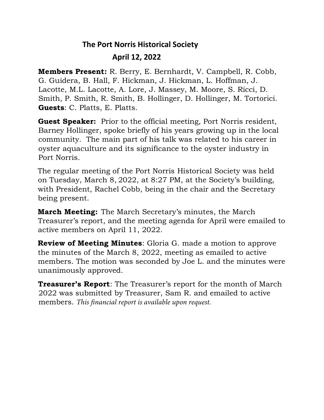## **The Port Norris Historical Society April 12, 2022**

**Members Present:** R. Berry, E. Bernhardt, V. Campbell, R. Cobb, G. Guidera, B. Hall, F. Hickman, J. Hickman, L. Hoffman, J. Lacotte, M.L. Lacotte, A. Lore, J. Massey, M. Moore, S. Ricci, D. Smith, P. Smith, R. Smith, B. Hollinger, D. Hollinger, M. Tortorici. **Guests**: C. Platts, E. Platts.

**Guest Speaker:** Prior to the official meeting, Port Norris resident, Barney Hollinger, spoke briefly of his years growing up in the local community. The main part of his talk was related to his career in oyster aquaculture and its significance to the oyster industry in Port Norris.

The regular meeting of the Port Norris Historical Society was held on Tuesday, March 8, 2022, at 8:27 PM, at the Society's building, with President, Rachel Cobb, being in the chair and the Secretary being present.

**March Meeting:** The March Secretary's minutes, the March Treasurer's report, and the meeting agenda for April were emailed to active members on April 11, 2022.

**Review of Meeting Minutes**: Gloria G. made a motion to approve the minutes of the March 8, 2022, meeting as emailed to active members. The motion was seconded by Joe L. and the minutes were unanimously approved.

**Treasurer's Report**: The Treasurer's report for the month of March 2022 was submitted by Treasurer, Sam R. and emailed to active members. *This financial report is available upon request.*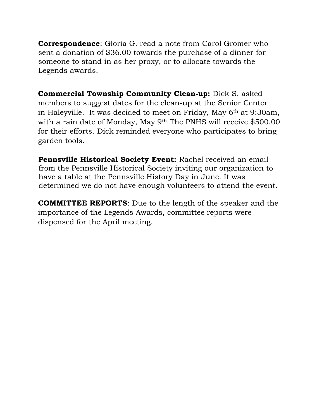**Correspondence**: Gloria G. read a note from Carol Gromer who sent a donation of \$36.00 towards the purchase of a dinner for someone to stand in as her proxy, or to allocate towards the Legends awards.

**Commercial Township Community Clean-up:** Dick S. asked members to suggest dates for the clean-up at the Senior Center in Haleyville. It was decided to meet on Friday, May 6th at 9:30am, with a rain date of Monday, May 9th. The PNHS will receive \$500.00 for their efforts. Dick reminded everyone who participates to bring garden tools.

**Pennsville Historical Society Event:** Rachel received an email from the Pennsville Historical Society inviting our organization to have a table at the Pennsville History Day in June. It was determined we do not have enough volunteers to attend the event.

**COMMITTEE REPORTS**: Due to the length of the speaker and the importance of the Legends Awards, committee reports were dispensed for the April meeting.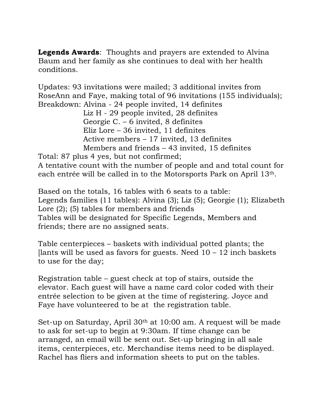**Legends Awards**: Thoughts and prayers are extended to Alvina Baum and her family as she continues to deal with her health conditions.

Updates: 93 invitations were mailed; 3 additional invites from RoseAnn and Faye, making total of 96 invitations (155 individuals); Breakdown: Alvina - 24 people invited, 14 definites

 Liz H - 29 people invited, 28 definites Georgie C. – 6 invited, 8 definites Eliz Lore – 36 invited, 11 definites Active members – 17 invited, 13 definites Members and friends – 43 invited, 15 definites

Total: 87 plus 4 yes, but not confirmed; A tentative count with the number of people and and total count for each entrée will be called in to the Motorsports Park on April 13th.

Based on the totals, 16 tables with 6 seats to a table: Legends families (11 tables): Alvina (3); Liz (5); Georgie (1); Elizabeth Lore (2); (5) tables for members and friends Tables will be designated for Specific Legends, Members and friends; there are no assigned seats.

Table centerpieces – baskets with individual potted plants; the [lants will be used as favors for guests. Need  $10 - 12$  inch baskets to use for the day;

Registration table – guest check at top of stairs, outside the elevator. Each guest will have a name card color coded with their entrée selection to be given at the time of registering. Joyce and Faye have volunteered to be at the registration table.

Set-up on Saturday, April 30<sup>th</sup> at 10:00 am. A request will be made to ask for set-up to begin at 9:30am. If time change can be arranged, an email will be sent out. Set-up bringing in all sale items, centerpieces, etc. Merchandise items need to be displayed. Rachel has fliers and information sheets to put on the tables.